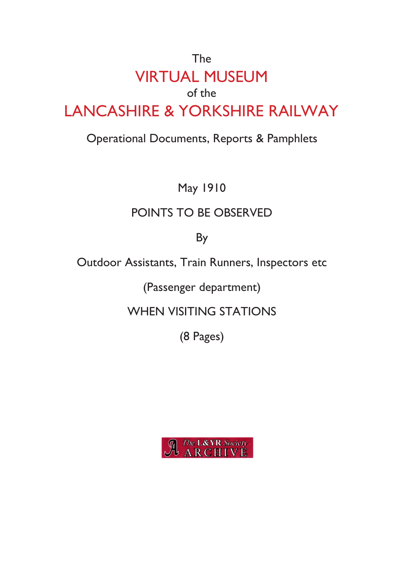# The VIRTUAL MUSEUM of the LANCASHIRE & YORKSHIRE RAILWAY

### Operational Documents, Reports & Pamphlets

May 1910

## POINTS TO BE OBSERVED

By

Outdoor Assistants, Train Runners, Inspectors etc

(Passenger department)

WHEN VISITING STATIONS

(8 Pages)

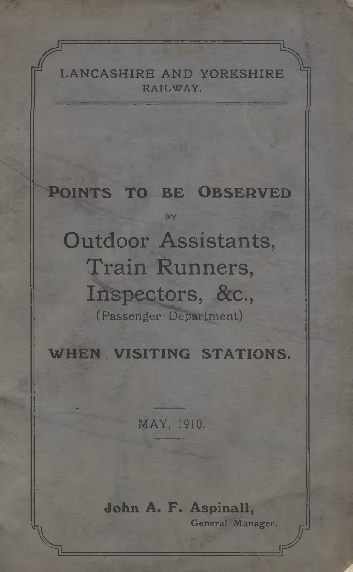**LANCASHIRE AND YORKSHIRE** RAILWAY.

#### POINTS TO BE OBSERVED **BY**

Outdoor Assistants Train Runners Inspectors, &c., (Passenger Department)

WHEN VISITING STATIONS.

MAY, 1910.

John A. F. Aspinall, General Manager.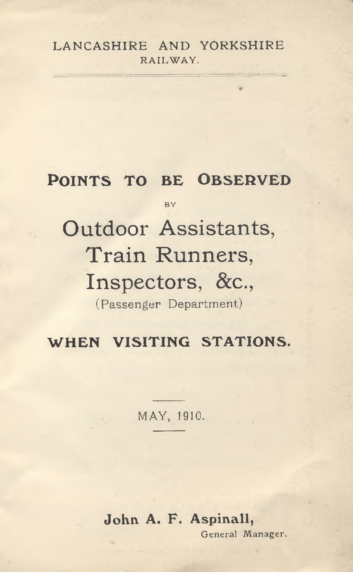#### LANCASHIRE AND YORKSHIRE RAILWAY.

\*-

### POINTS TO BE OBSERVED <sup>B</sup> <sup>Y</sup> Outdoor Assistants Train Runners, Inspectors, &<sup>c</sup>., ( Passenger Department)

WHEN VISITING STATIONS.

MAY, 1910.

John A. F. Aspinall, General Manager.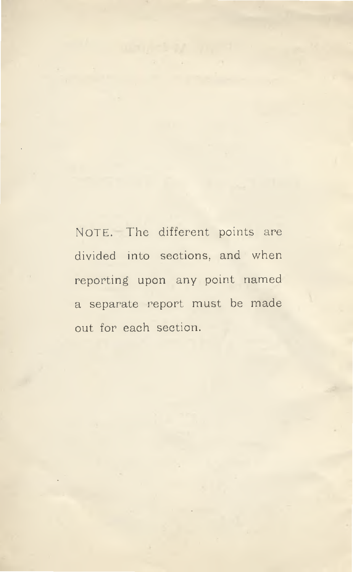NOTE. The different points are divided into sections, and when reporting upon any point named <sup>a</sup> separate repor<sup>t</sup> must be made out for each section.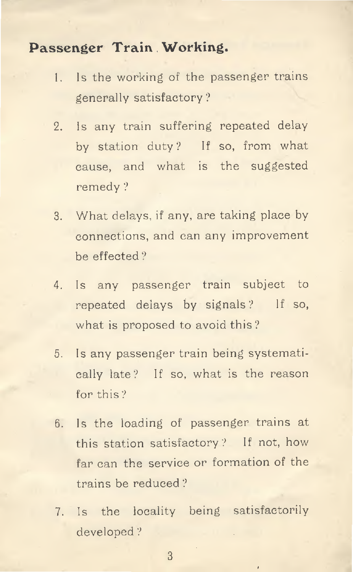#### **Passenger Train . Working.**

- Is the working of the passenger trains generally satisfactory ? 1 **.**
- 2. Is any train suffering repeated delay by station duty? If so, from what cause, and what is the suggested remedy ?
- 3. What delays, if any, are taking <sup>p</sup>lace by connections, and can any improvement be effected ?
- 4. Is any passenger train subject to repeated delays by signals ? If so, what is proposed to avoid this?
- 5. Is any passenger train being systematically late ? If so, what is the reason for this ?
- 6. Is the loading of passenger trains at this station satisfactory ? If not, how far can the service or formation of the trains be reduced ?
- 7. Is the locality being satisfactorily developed ?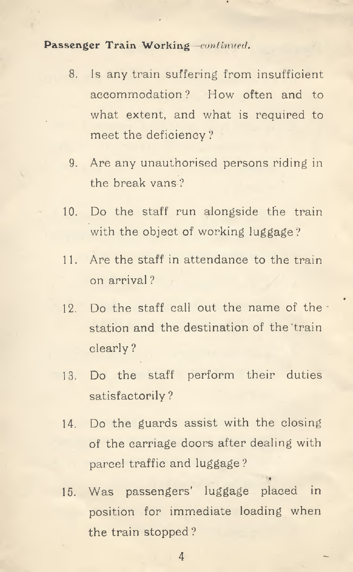Passenger Train Working *—continued.*

- 8. Is any train suffering from insufficient accommodation ? How often and to what extent, and what is required to meet the deficiency ?
- 9. Are any unauthorised persons riding in the break vans ?
- 10. Do the staff run alongside the train with the object of working luggage ?
- 11. Are the staff in attendance to the train on arrival ?
- 12. Do the staff call out the name of the station and the destination of the train clearly ?
- 13. Do the staff perform their duties satisfactorily ?
- 14. Do the guards assist with the closing of the carriage doors after dealing with parcel traffic and luggage ?
- 15. Was passengers' luggage placed in position for immediate loading when the train stopped ?

**4**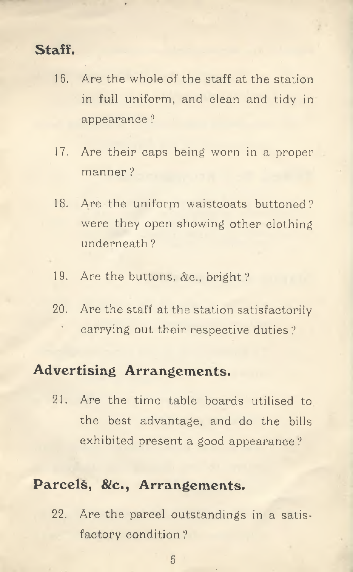#### **Staff.**

- 16. Are the whole of the staff at the station in full uniform, and clean and tidy in appearance ?
- Are their caps being worn in <sup>a</sup> proper manner ? 17.
- 18. Are the uniform waistcoats buttoned? were they open showing other clothing underneath ?
- 19. Are the buttons, &<sup>c</sup>., bright ?
- 20**.** Are the staff at the station satisfactorily carrying out their respective duties ?

#### **Advertising Arrangements.**

21. Are the time table boards utilised to the best advantage, and do the bills exhibited present <sup>a</sup> good appearance ?

#### **Parcels, &<sup>c</sup>., Arrangements.**

22. Are the parcel outstandings in <sup>a</sup> satisfactory condition ?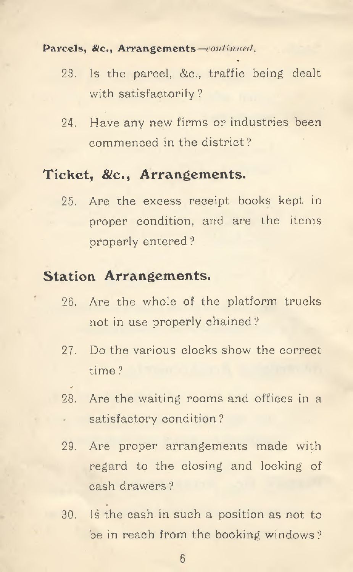#### Parcels, &c., Arrangements—*continued*,

- Is the parcel, &c., traffic being dealt with satisfactorily ? 23.
- 24. Have any new firms or industries been commenced in the district ?

#### **Ticket, &c. , Arrangements.**

25. Are the excess receipt books kept in proper condition, and are the items properly entered ?

#### **Station Arrangements.**

- 26. Are the whole of the platform trucks not in use properly chained ?
- 27. Do the various clocks show the correct time ?
- 28. Are the waiting rooms and offices in a satisfactory condition ?
- 29. Are proper arrangements made with regard to the closing and locking of cash drawers ?
- 30. Is the cash in such a position as not to be in reach from the booking windows ?